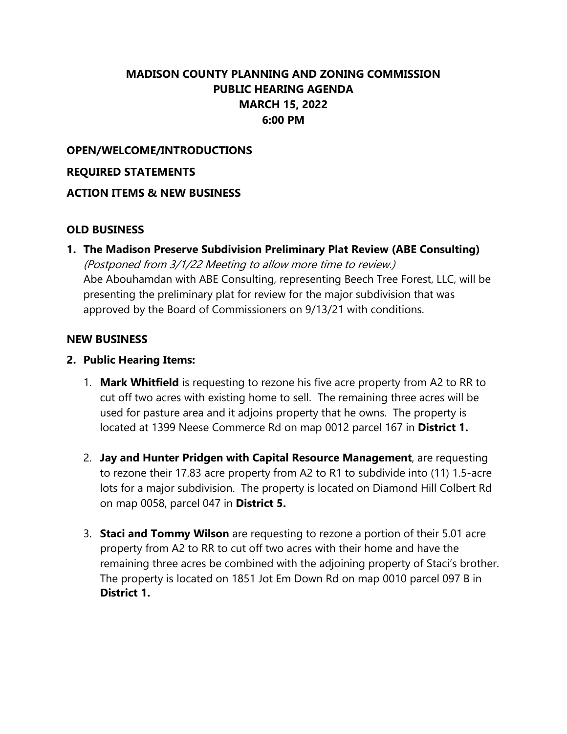## **MADISON COUNTY PLANNING AND ZONING COMMISSION PUBLIC HEARING AGENDA MARCH 15, 2022 6:00 PM**

## **OPEN/WELCOME/INTRODUCTIONS**

#### **REQUIRED STATEMENTS**

### **ACTION ITEMS & NEW BUSINESS**

## **OLD BUSINESS**

**1. The Madison Preserve Subdivision Preliminary Plat Review (ABE Consulting)**  (Postponed from 3/1/22 Meeting to allow more time to review.) Abe Abouhamdan with ABE Consulting, representing Beech Tree Forest, LLC, will be presenting the preliminary plat for review for the major subdivision that was approved by the Board of Commissioners on 9/13/21 with conditions.

#### **NEW BUSINESS**

#### **2. Public Hearing Items:**

- 1. **Mark Whitfield** is requesting to rezone his five acre property from A2 to RR to cut off two acres with existing home to sell. The remaining three acres will be used for pasture area and it adjoins property that he owns. The property is located at 1399 Neese Commerce Rd on map 0012 parcel 167 in **District 1.**
- 2. **Jay and Hunter Pridgen with Capital Resource Management**, are requesting to rezone their 17.83 acre property from A2 to R1 to subdivide into (11) 1.5-acre lots for a major subdivision. The property is located on Diamond Hill Colbert Rd on map 0058, parcel 047 in **District 5.**
- 3. **Staci and Tommy Wilson** are requesting to rezone a portion of their 5.01 acre property from A2 to RR to cut off two acres with their home and have the remaining three acres be combined with the adjoining property of Staci's brother. The property is located on 1851 Jot Em Down Rd on map 0010 parcel 097 B in **District 1.**